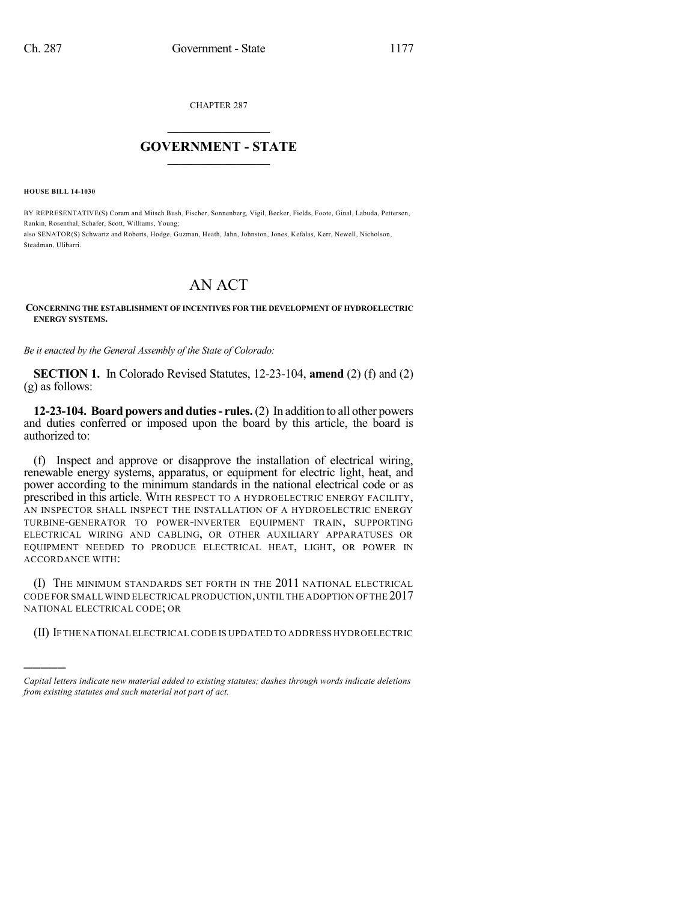CHAPTER 287

## $\overline{\phantom{a}}$  . The set of the set of the set of the set of the set of the set of the set of the set of the set of the set of the set of the set of the set of the set of the set of the set of the set of the set of the set o **GOVERNMENT - STATE**  $\_$

**HOUSE BILL 14-1030**

)))))

BY REPRESENTATIVE(S) Coram and Mitsch Bush, Fischer, Sonnenberg, Vigil, Becker, Fields, Foote, Ginal, Labuda, Pettersen, Rankin, Rosenthal, Schafer, Scott, Williams, Young; also SENATOR(S) Schwartz and Roberts, Hodge, Guzman, Heath, Jahn, Johnston, Jones, Kefalas, Kerr, Newell, Nicholson, Steadman, Ulibarri.

## AN ACT

## **CONCERNING THE ESTABLISHMENT OF INCENTIVES FOR THE DEVELOPMENT OF HYDROELECTRIC ENERGY SYSTEMS.**

*Be it enacted by the General Assembly of the State of Colorado:*

**SECTION 1.** In Colorado Revised Statutes, 12-23-104, **amend** (2) (f) and (2) (g) as follows:

**12-23-104. Board powers and duties- rules.**(2) In addition to all other powers and duties conferred or imposed upon the board by this article, the board is authorized to:

(f) Inspect and approve or disapprove the installation of electrical wiring, renewable energy systems, apparatus, or equipment for electric light, heat, and power according to the minimum standards in the national electrical code or as prescribed in this article. WITH RESPECT TO A HYDROELECTRIC ENERGY FACILITY, AN INSPECTOR SHALL INSPECT THE INSTALLATION OF A HYDROELECTRIC ENERGY TURBINE-GENERATOR TO POWER-INVERTER EQUIPMENT TRAIN, SUPPORTING ELECTRICAL WIRING AND CABLING, OR OTHER AUXILIARY APPARATUSES OR EQUIPMENT NEEDED TO PRODUCE ELECTRICAL HEAT, LIGHT, OR POWER IN ACCORDANCE WITH:

(I) THE MINIMUM STANDARDS SET FORTH IN THE 2011 NATIONAL ELECTRICAL CODE FOR SMALL WIND ELECTRICAL PRODUCTION,UNTIL THE ADOPTION OF THE 2017 NATIONAL ELECTRICAL CODE; OR

(II) IF THE NATIONAL ELECTRICAL CODE IS UPDATED TO ADDRESS HYDROELECTRIC

*Capital letters indicate new material added to existing statutes; dashes through words indicate deletions from existing statutes and such material not part of act.*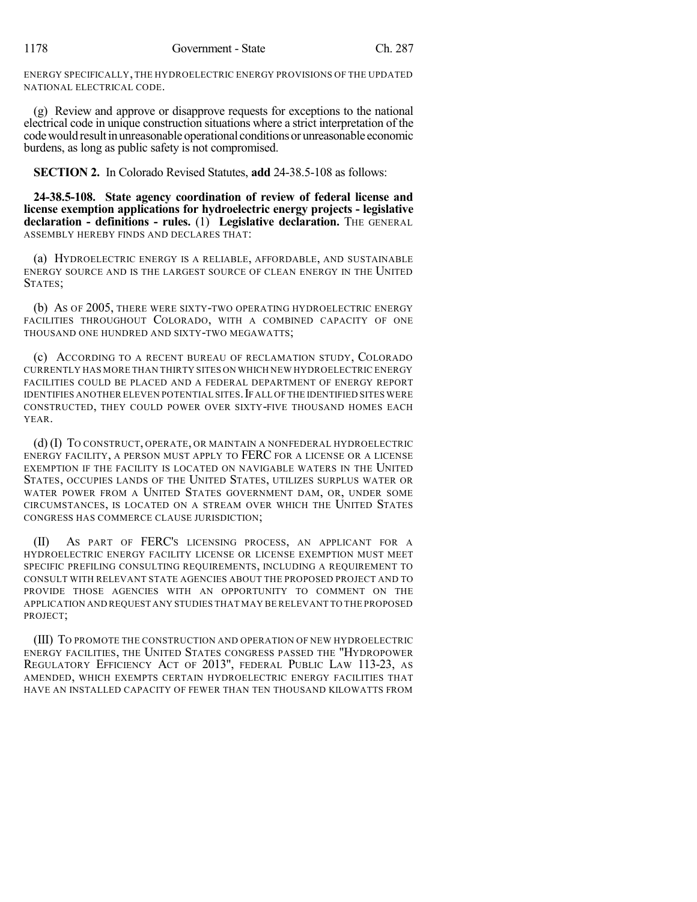ENERGY SPECIFICALLY, THE HYDROELECTRIC ENERGY PROVISIONS OF THE UPDATED NATIONAL ELECTRICAL CODE.

(g) Review and approve or disapprove requests for exceptions to the national electrical code in unique construction situations where a strict interpretation of the code would result in unreasonable operational conditions or unreasonable economic burdens, as long as public safety is not compromised.

**SECTION 2.** In Colorado Revised Statutes, **add** 24-38.5-108 as follows:

**24-38.5-108. State agency coordination of review of federal license and license exemption applications for hydroelectric energy projects - legislative declaration - definitions - rules.** (1) **Legislative declaration.** THE GENERAL ASSEMBLY HEREBY FINDS AND DECLARES THAT:

(a) HYDROELECTRIC ENERGY IS A RELIABLE, AFFORDABLE, AND SUSTAINABLE ENERGY SOURCE AND IS THE LARGEST SOURCE OF CLEAN ENERGY IN THE UNITED STATES;

(b) AS OF 2005, THERE WERE SIXTY-TWO OPERATING HYDROELECTRIC ENERGY FACILITIES THROUGHOUT COLORADO, WITH A COMBINED CAPACITY OF ONE THOUSAND ONE HUNDRED AND SIXTY-TWO MEGAWATTS;

(c) ACCORDING TO A RECENT BUREAU OF RECLAMATION STUDY, COLORADO CURRENTLY HAS MORE THAN THIRTY SITES ON WHICH NEW HYDROELECTRIC ENERGY FACILITIES COULD BE PLACED AND A FEDERAL DEPARTMENT OF ENERGY REPORT IDENTIFIES ANOTHER ELEVEN POTENTIAL SITES. IF ALL OF THE IDENTIFIED SITES WERE CONSTRUCTED, THEY COULD POWER OVER SIXTY-FIVE THOUSAND HOMES EACH YEAR.

(d) (I) TO CONSTRUCT, OPERATE, OR MAINTAIN A NONFEDERAL HYDROELECTRIC ENERGY FACILITY, A PERSON MUST APPLY TO FERC FOR A LICENSE OR A LICENSE EXEMPTION IF THE FACILITY IS LOCATED ON NAVIGABLE WATERS IN THE UNITED STATES, OCCUPIES LANDS OF THE UNITED STATES, UTILIZES SURPLUS WATER OR WATER POWER FROM A UNITED STATES GOVERNMENT DAM, OR, UNDER SOME CIRCUMSTANCES, IS LOCATED ON A STREAM OVER WHICH THE UNITED STATES CONGRESS HAS COMMERCE CLAUSE JURISDICTION;

(II) AS PART OF FERC'S LICENSING PROCESS, AN APPLICANT FOR A HYDROELECTRIC ENERGY FACILITY LICENSE OR LICENSE EXEMPTION MUST MEET SPECIFIC PREFILING CONSULTING REQUIREMENTS, INCLUDING A REQUIREMENT TO CONSULT WITH RELEVANT STATE AGENCIES ABOUT THE PROPOSED PROJECT AND TO PROVIDE THOSE AGENCIES WITH AN OPPORTUNITY TO COMMENT ON THE APPLICATION AND REQUEST ANY STUDIES THAT MAY BE RELEVANT TO THE PROPOSED PROJECT;

(III) TO PROMOTE THE CONSTRUCTION AND OPERATION OF NEW HYDROELECTRIC ENERGY FACILITIES, THE UNITED STATES CONGRESS PASSED THE "HYDROPOWER REGULATORY EFFICIENCY ACT OF 2013", FEDERAL PUBLIC LAW 113-23, AS AMENDED, WHICH EXEMPTS CERTAIN HYDROELECTRIC ENERGY FACILITIES THAT HAVE AN INSTALLED CAPACITY OF FEWER THAN TEN THOUSAND KILOWATTS FROM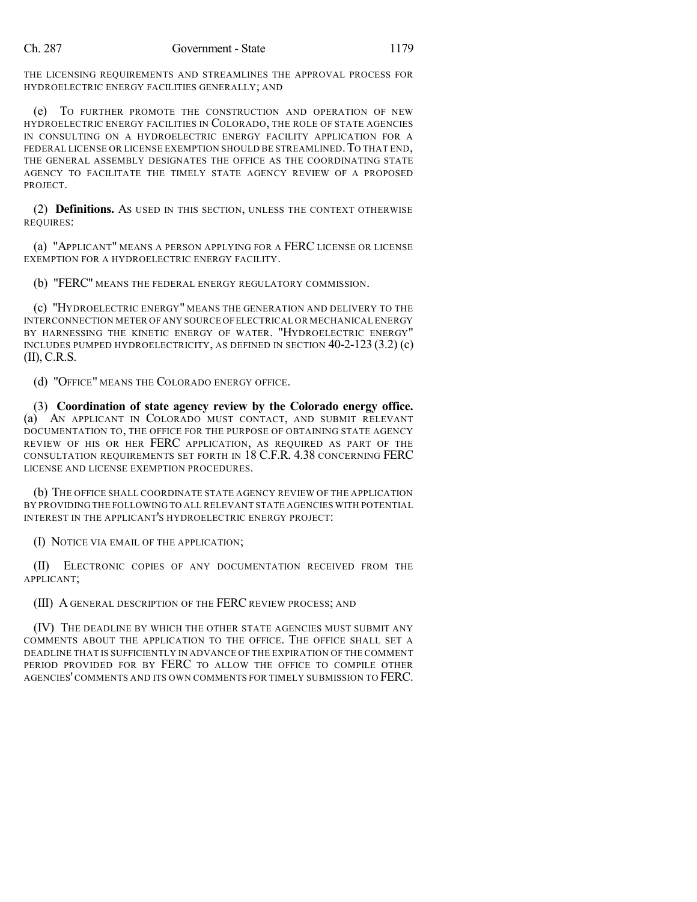THE LICENSING REQUIREMENTS AND STREAMLINES THE APPROVAL PROCESS FOR HYDROELECTRIC ENERGY FACILITIES GENERALLY; AND

(e) TO FURTHER PROMOTE THE CONSTRUCTION AND OPERATION OF NEW HYDROELECTRIC ENERGY FACILITIES IN COLORADO, THE ROLE OF STATE AGENCIES IN CONSULTING ON A HYDROELECTRIC ENERGY FACILITY APPLICATION FOR A FEDERAL LICENSE OR LICENSE EXEMPTION SHOULD BE STREAMLINED. TO THAT END, THE GENERAL ASSEMBLY DESIGNATES THE OFFICE AS THE COORDINATING STATE AGENCY TO FACILITATE THE TIMELY STATE AGENCY REVIEW OF A PROPOSED PROJECT.

(2) **Definitions.** AS USED IN THIS SECTION, UNLESS THE CONTEXT OTHERWISE REQUIRES:

(a) "APPLICANT" MEANS A PERSON APPLYING FOR A FERC LICENSE OR LICENSE EXEMPTION FOR A HYDROELECTRIC ENERGY FACILITY.

(b) "FERC" MEANS THE FEDERAL ENERGY REGULATORY COMMISSION.

(c) "HYDROELECTRIC ENERGY" MEANS THE GENERATION AND DELIVERY TO THE INTERCONNECTION METER OF ANY SOURCE OFELECTRICAL OR MECHANICAL ENERGY BY HARNESSING THE KINETIC ENERGY OF WATER. "HYDROELECTRIC ENERGY" INCLUDES PUMPED HYDROELECTRICITY, AS DEFINED IN SECTION 40-2-123 (3.2) (c) (II), C.R.S.

(d) "OFFICE" MEANS THE COLORADO ENERGY OFFICE.

(3) **Coordination of state agency review by the Colorado energy office.** (a) AN APPLICANT IN COLORADO MUST CONTACT, AND SUBMIT RELEVANT DOCUMENTATION TO, THE OFFICE FOR THE PURPOSE OF OBTAINING STATE AGENCY REVIEW OF HIS OR HER FERC APPLICATION, AS REQUIRED AS PART OF THE CONSULTATION REQUIREMENTS SET FORTH IN 18 C.F.R. 4.38 CONCERNING FERC LICENSE AND LICENSE EXEMPTION PROCEDURES.

(b) THE OFFICE SHALL COORDINATE STATE AGENCY REVIEW OF THE APPLICATION BY PROVIDING THE FOLLOWING TO ALL RELEVANT STATE AGENCIES WITH POTENTIAL INTEREST IN THE APPLICANT'S HYDROELECTRIC ENERGY PROJECT:

(I) NOTICE VIA EMAIL OF THE APPLICATION;

(II) ELECTRONIC COPIES OF ANY DOCUMENTATION RECEIVED FROM THE APPLICANT;

(III) A GENERAL DESCRIPTION OF THE FERC REVIEW PROCESS; AND

(IV) THE DEADLINE BY WHICH THE OTHER STATE AGENCIES MUST SUBMIT ANY COMMENTS ABOUT THE APPLICATION TO THE OFFICE. THE OFFICE SHALL SET A DEADLINE THAT IS SUFFICIENTLY IN ADVANCE OF THE EXPIRATION OF THE COMMENT PERIOD PROVIDED FOR BY FERC TO ALLOW THE OFFICE TO COMPILE OTHER AGENCIES'COMMENTS AND ITS OWN COMMENTS FOR TIMELY SUBMISSION TO FERC.